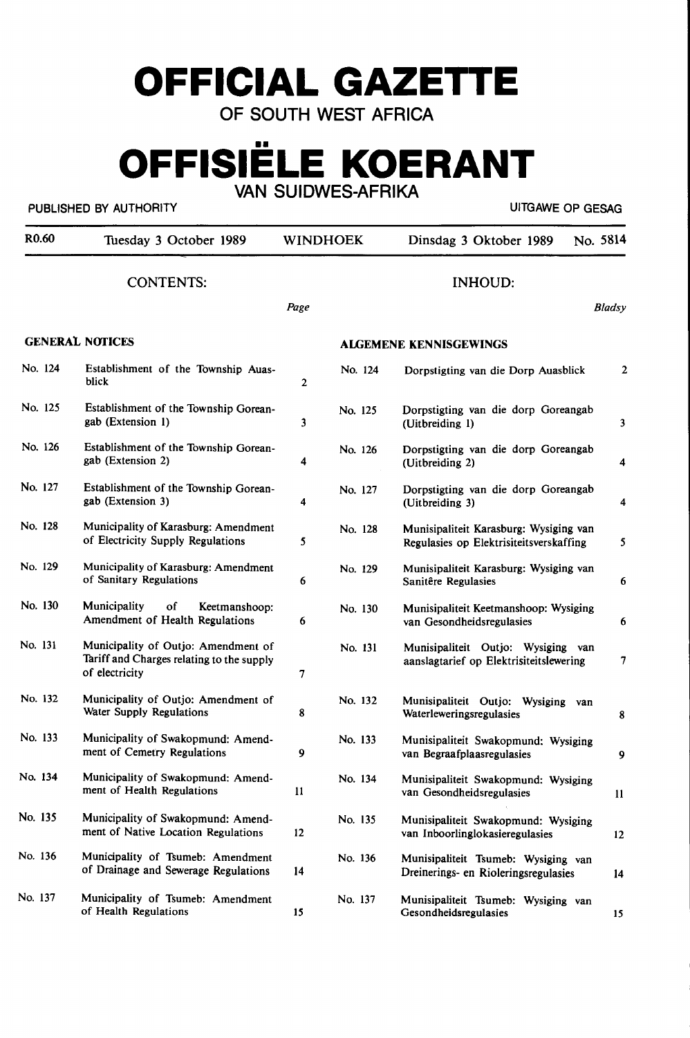# **OFFICIAL GAZETTE**

**OF SOUTH WEST AFRICA** 

## **OFFISIELE KOERANT VAN SUIDWES-AFRIKA**

PUBLISHED BY AUTHORITY **AUTHORITY EXAGE ASSAULT ASSAULTED AT A STATE OF GESAGE AND LITGAWE OP GESAGE** 

| R <sub>0.60</sub> | Tuesday 3 October 1989                                                                             |                | <b>WINDHOEK</b> | No. 5814<br>Dinsdag 3 Oktober 1989                                                |                  |
|-------------------|----------------------------------------------------------------------------------------------------|----------------|-----------------|-----------------------------------------------------------------------------------|------------------|
|                   | <b>CONTENTS:</b>                                                                                   | Page           |                 | <b>INHOUD:</b>                                                                    | Bladsy           |
|                   | <b>GENERAL NOTICES</b>                                                                             |                |                 | <b>ALGEMENE KENNISGEWINGS</b>                                                     |                  |
| No. 124           | Establishment of the Township Auas-<br>blick                                                       | $\overline{2}$ | No. 124         | Dorpstigting van die Dorp Auasblick                                               | 2                |
| No. 125           | Establishment of the Township Gorean-<br>gab (Extension 1)                                         | 3              | No. 125         | Dorpstigting van die dorp Goreangab<br>(Uitbreiding 1)                            | 3                |
| No. 126           | Establishment of the Township Gorean-<br>gab (Extension 2)                                         | 4              | No. 126         | Dorpstigting van die dorp Goreangab<br>(Uitbreiding 2)                            | 4                |
| No. 127           | Establishment of the Township Gorean-<br>gab (Extension 3)                                         | 4              | No. 127         | Dorpstigting van die dorp Goreangab<br>(Uitbreiding 3)                            | 4                |
| No. 128           | Municipality of Karasburg: Amendment<br>of Electricity Supply Regulations                          | 5              | No. 128         | Munisipaliteit Karasburg: Wysiging van<br>Regulasies op Elektrisiteitsverskaffing | 5                |
| No. 129           | Municipality of Karasburg: Amendment<br>of Sanitary Regulations                                    | 6              | No. 129         | Munisipaliteit Karasburg: Wysiging van<br>Sanitêre Regulasies                     | 6                |
| No. 130           | Municipality<br>οf<br>Keetmanshoop:<br>Amendment of Health Regulations                             | 6              | No. 130         | Munisipaliteit Keetmanshoop: Wysiging<br>van Gesondheidsregulasies                | 6                |
| No. 131           | Municipality of Outjo: Amendment of<br>Tariff and Charges relating to the supply<br>of electricity | 7              | No. 131         | Munisipaliteit Outjo: Wysiging<br>van<br>aanslagtarief op Elektrisiteitslewering  | 7                |
| No. 132           | Municipality of Outjo: Amendment of<br>Water Supply Regulations                                    | 8              | No. 132         | Munisipaliteit Outjo: Wysiging<br>van<br>Waterleweringsregulasies                 | 8                |
| No. 133           | Municipality of Swakopmund: Amend-<br>ment of Cemetry Regulations                                  | 9              | No. 133         | Munisipaliteit Swakopmund: Wysiging<br>van Begraafplaasregulasies                 | 9                |
| No. 134           | Municipality of Swakopmund: Amend-<br>ment of Health Regulations                                   | $\mathbf{11}$  | No. 134         | Munisipaliteit Swakopmund: Wysiging<br>van Gesondheidsregulasies                  | $\mathbf{I}$     |
| No. 135           | Municipality of Swakopmund: Amend-<br>ment of Native Location Regulations                          | 12             | No. 135         | Munisipaliteit Swakopmund: Wysiging<br>van Inboorlinglokasieregulasies            | 12               |
| No. 136           | Municipality of Tsumeb: Amendment<br>of Drainage and Sewerage Regulations                          | 14             | No. 136         | Munisipaliteit Tsumeb: Wysiging van<br>Dreinerings- en Rioleringsregulasies       | 14               |
| No. 137           | Municipality of Tsumeb: Amendment<br>of Health Regulations                                         | 15             | No. 137         | Munisipaliteit Tsumeb: Wysiging van<br>Gesondheidsregulasies                      | 15 <sub>15</sub> |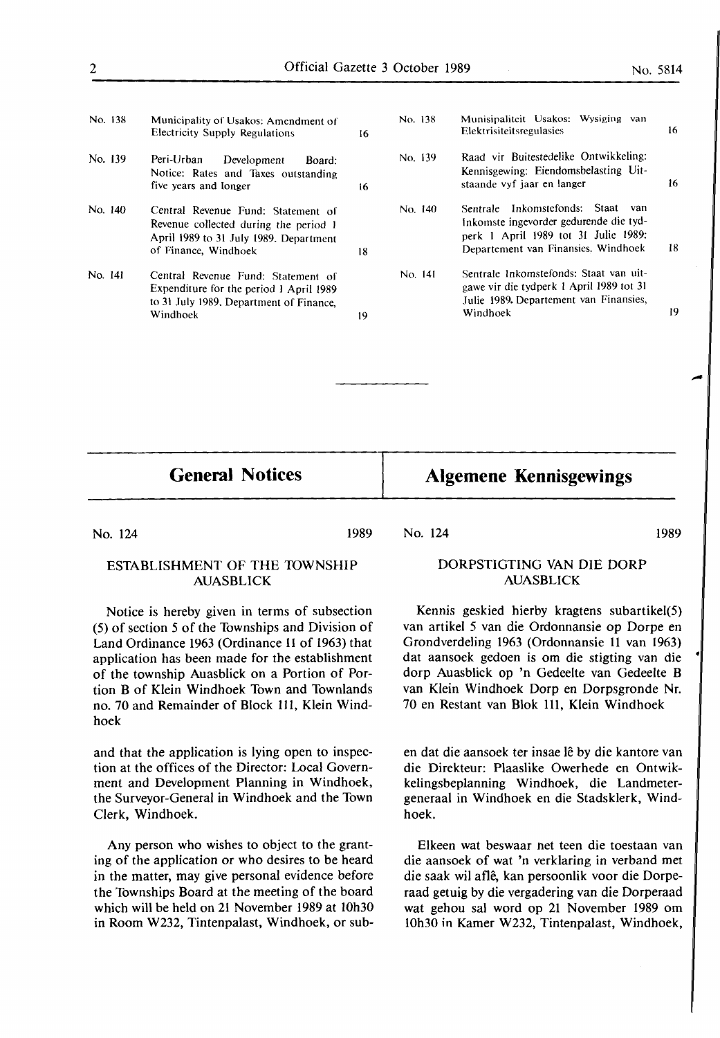- No. 138 No. 139 No. 140 Municipality of Usakos: Amendment of Electricity Supply Regulations 16 Peri-Urban Development Board: Notice: Rates and Taxes outstanding five years and longer 16 Central Revenue Fund: Statement of Revenue collected during the period 1 April 1989 to 31 July 1989. Department of Finance, Windhoek 18
- No. 141 Central Revenue Fund: Statement of Expenditure for the period 1 April 1989 to 31 July 1989. Department of Finance, Windhoek 19
- No. 138 No. 139 No. 140 No. 141 Munisipaliteit Usakos: Wysiging van Elektrisiteitsregulasies Raad vir Buitestedelike Ontwikkeling: Kennisgewing: Eiendomsbelasting Uitstaande vyf jaar en langer Sentrale lnkomstefonds: Staat van Inkomste ingevorder gedurende die tydperk I April 1989 tot 31 Julie 1989: Departement van Finansies, Windhoek Sentrale lnkomstefonds: Staat van uitgawe vir die tydperk I April 1989 tot 31 Julie 1989. Departement van Finansies, Windhoek 16 16 18 19

**General Notices** 

### **Algemene Kennisgewings**

No. 124

#### ESTABLISHMENT OF THE TOWNSHIP AUASBLICK

Notice is hereby given in terms of subsection (5) of section *5* of the Townships and Division of Land Ordinance 1963 (Ordinance 11 of 1963) that application has been made for the establishment of the township Auasblick on a Portion of Portion B of Klein Windhoek Town and Townlands no. 70 and Remainder of Block 111, Klein Windhoek

and that the application is lying open to inspection at the offices of the Director: Local Government and Development Planning in Windhoek, the Surveyor-General in Windhoek and the Town Clerk, Windhoek.

Any person who wishes to object to the granting of the application or who desires to be heard in the matter, may give personal evidence before the Townships Board at the meeting of the board which will be held on 21 November 1989 at 10h30 in Room W232, Tintenpalast, Windhoek, or sub-

## No. 124

1989

#### DORPSTIGTING VAN DIE DORP AUASBLICK

Kennis geskied hierby kragtens subartikel(5) van artikel 5 van die Ordonnansie op Dorpe en Grondverdeling 1963 (Ordonnansie 11 van 1963) dat aansoek gedoen is om die stigting van die ' dorp Auasblick op 'n Gedeelte van Gedeelte B van Klein Windhoek Dorp en Dorpsgronde Nr. 70 en Restant van Blok Ill, Klein Windhoek

en dat die aansoek ter insae lê by die kantore van die Direkteur: Plaaslike Owerhede en Ontwikkelingsbeplanning Windhoek, die Landmetergeneraal in Windhoek en die Stadsklerk, Windhoek.

Elkeen wat beswaar net teen die toestaan van die aansoek of wat 'n verklaring in verband met die saak wil afle, kan persoonlik voor die Dorperaad getuig by die vergadering van die Dorperaad wat gehou sal word op 21 November 1989 om 10h30 in Kamer W232, Tintenpalast, Windhoek,

1989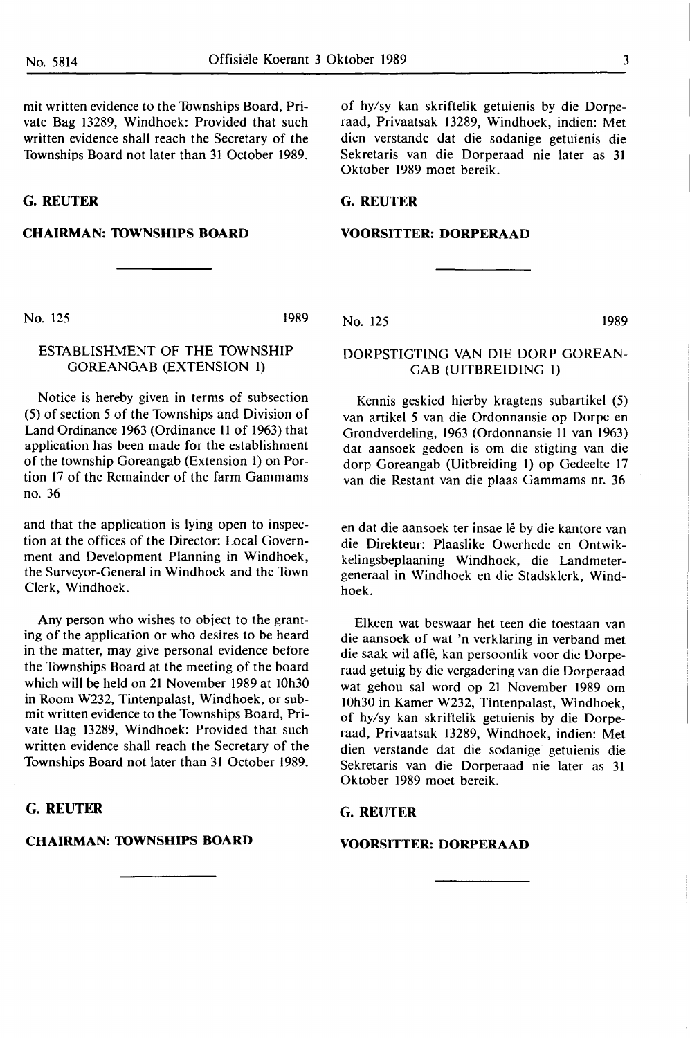mit written evidence to the Townships Board, Private Bag 13289, Windhoek: Provided that such written evidence shall reach the Secretary of the Townships Board not later than 31 October 1989.

**G.REUTER** 

#### **CHAIRMAN: 10WNSHIPS BOARD**

of hy/sy kan skriftelik getuienis by die Dorperaad, Privaatsak 13289, Windhoek, indien: Met dien verstande dat die sodanige getuienis die Sekretaris van die Dorperaad nie later as 31 Oktober 1989 moet bereik.

#### **G.REUTER**

#### **VOORSITTER: DORPERAAD**

No. 125 1989

#### ESTABLISHMENT OF THE TOWNSHIP GOREANGAB (EXTENSION 1)

Notice is hereby given in terms of subsection (5) of section *5* of the Townships and Division of Land Ordinance 1963 (Ordinance 11 of 1963) that application has been made for the establishment of the township Goreangab (Extension 1) on Portion 17 of the Remainder of the farm Gammams no. 36

and that the application is lying open to inspection at the offices of the Director: Local Government and Development Planning in Windhoek, the Surveyor-General in Windhoek and the Town Clerk, Windhoek.

**Any** person who wishes to object to the granting of the application or who desires to be heard in the matter, may give personal evidence before the Townships Board at the meeting of the board which will be held on 21 November 1989 at 10h30 in Room W232, Tintenpalast, Windhoek, or submit written evidence to the Townships Board, Private Bag 13289, Windhoek: Provided that such written evidence shall reach the Secretary of the Townships Board not later than 31 October 1989.

#### **G.REUTER**

#### **CHAIRMAN: 10WNSHIPS BOARD**

DORPSTIGTING VAN DIE DORP GOREAN-

GAB (UITBREIDING I)

No. 125 1989

Kennis geskied hierby kragtens subartikel (5) van artikel *5* van die Ordonnansie op Dorpe en Grondverdeling, 1963 (Ordonnansie 11 van 1963) dat aansoek gedoen is om die stigting van die dorp Goreangab (Uitbreiding 1) op Gedeelte 17 van die Restant van die plaas Gammams nr. 36

en dat die aansoek ter insae lê by die kantore van die Direkteur: Plaaslike Owerhede en Ontwikkelingsbeplaaning Windhoek, die Landmetergeneraal in Windhoek en die Stadsklerk, Windhoek.

Elkeen wat beswaar het teen die toestaan van die aansoek of wat 'n verklaring in verband met die saak wil afle, kan persoonlik voor die Dorperaad getuig by die vergadering van die Dorperaad wat gehou sal word op 21 November 1989 om 10h30 in Kamer W232, Tintenpalast, Windhoek, of hy/sy kan skriftelik getuienis by die Dorperaad, Privaatsak 13289, Windhoek, indien: Met dien verstande dat die sodanige getuienis die Sekretaris van die Dorperaad nie later as 31 Oktober 1989 moet bereik.

#### **G.REUTER**

#### **VOORSITTER: DORPERAAD**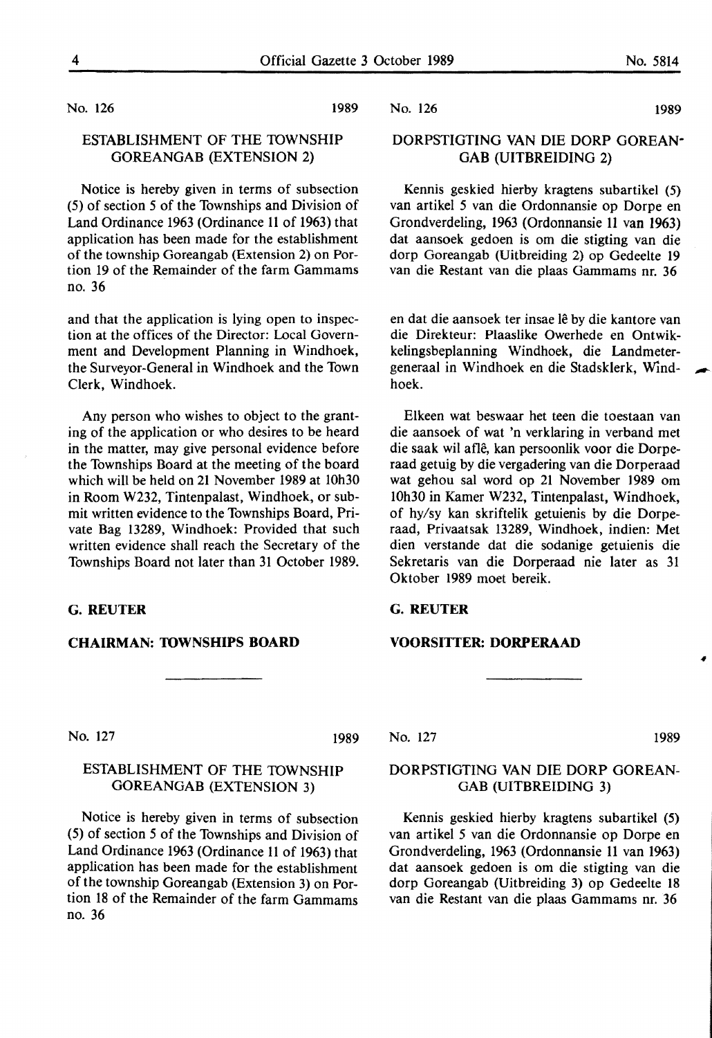No. 126 1989

#### ESTABLISHMENT OF THE TOWNSHIP GOREANGAB (EXTENSION 2)

Notice is hereby given in terms of subsection (5) of section 5 of the Townships and Division of Land Ordinance 1963 (Ordinance 11 of 1963) that application has been made for the establishment of the township Goreangab (Extension 2) on Portion 19 of the Remainder of the farm Gammams no. 36

and that the application is lying open to inspection at the offices of the Director: Local Government and Development Planning in Windhoek, the Surveyor-General in Windhoek and the Town Clerk, Windhoek.

Any person who wishes to object to the granting of the application or who desires to be heard in the matter, may give personal evidence before the Townships Board at the meeting of the board which will be held on 21 November 1989 at 10h30 in Room W232, Tintenpalast, Windhoek, or submit written evidence to the Townships Board, Private Bag 13289, Windhoek: Provided that such written evidence shall reach the Secretary of the Townships Board not later than 31 October 1989.

#### **G.REUTER**

#### **CHAIRMAN: 10WNSHIPS BOARD**

No. 127 1989

#### ESTABLISHMENT OF THE TOWNSHIP **GOREANGAB (EXTENSION** 3)

Notice is hereby given in terms of subsection (5) of section 5 of the Townships and Division of Land Ordinance 1963 (Ordinance 11 of 1963) that application has been made for the establishment of the township Goreangab (Extension 3) on Portion 18 of the Remainder of the farm Gammams no. 36

No. 126 **1989** 

#### DORPSTIGTING VAN DIE DORP GOREAN· GAB (UITBREIDING 2)

Kennis geskied hierby kragtens subartikel (5) van artikel 5 van die Ordonnansie op Dorpe en Grondverdeling, 1963 (Ordonnansie 11 van 1963) dat aansoek gedoen is om die stigting van die dorp Goreangab (Uitbreiding 2) op Gedeelte 19 van die Restant van die plaas Gammams nr. 36

en dat die aansoek ter insae le by die kantore van die Direkteur: Plaaslike Owerhede en Ontwikkelingsbeplanning Windhoek, die Landmetergeneraal in Windhoek en die Stadsklerk, Windhoek.

Elkeen wat beswaar het teen die toestaan van die aansoek of wat 'n verklaring in verband met die saak wil afle, kan persoonlik voor die Dorperaad getuig by die vergadering van die Dorperaad wat gehou sal word op 21 November 1989 om 10h30 in Kamer W232, Tintenpalast, Windhoek, of hy/sy kan skriftelik getuienis by die Dorperaad, Privaatsak 13289, Windhoek, indien: Met dien verstande dat die sodanige getuienis die Sekretaris van die Dorperaad nie later as 31 Oktober 1989 moet bereik.

#### **G.REUTER**

#### **VOORSITTER: DORPERAAD**

No. 127 1989

#### DORPSTIGTING VAN DIE DORP GOREAN-GAB (UITBREIDING 3)

Kennis geskied hierby kragtens subartikel (5) van artikel 5 van die Ordonnansie op Dorpe en Grondverdeling, 1963 (Ordonnansie 11 van 1963) dat aansoek gedoen is om die stigting van die dorp Goreangab (Uitbreiding 3) op Gedeelte 18 van die Restant van die plaas Gammams nr. 36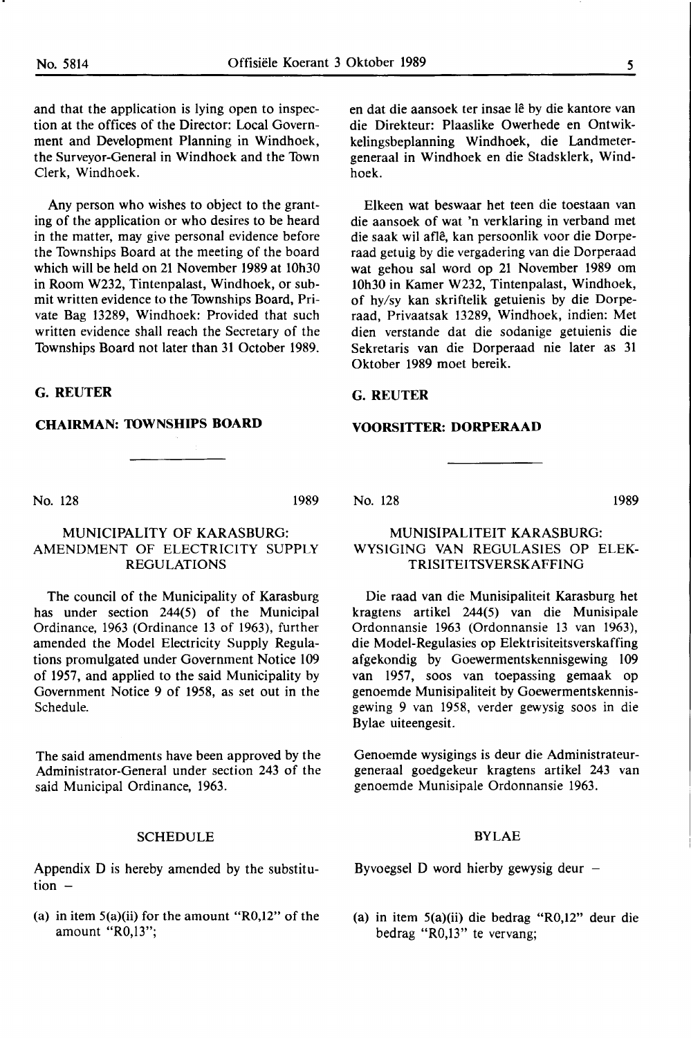and that the application is lying open to inspection at the offices of the Director: Local Government and Development Planning in Windhoek, the Surveyor-General in Windhoek and the Town Clerk, Windhoek.

Any person who wishes to object to the granting of the application or who desires to be heard in the matter, may give personal evidence before the Townships Board at the meeting of the board which will be held on 21 November 1989 at 10h30 in Room W232, Tintenpalast, Windhoek, or submit written evidence to the Townships Board, Private Bag 13289, Windhoek: Provided that such written evidence shall reach the Secretary of the Townships Board not later than 31 October **1989.** 

**G.REUTER** 

#### **CHAIRMAN: TOWNSHIPS BOARD**

No. 128 1989

#### MUNICIPALITY OF KARASBURG: AMENDMENT OF ELECTRICITY SUPPLY REGULATIONS

The council of the Municipality of Karasburg has under section 244(5) of the Municipal Ordinance, 1963 (Ordinance 13 of 1963), further amended the Model Electricity Supply Regulations promulgated under Government Notice 109 of 1957, and applied to the said Municipality by Government Notice 9 of 1958, as set out in the Schedule.

The said amendments have been approved by the Administrator-General under section 243 of the said Municipal Ordinance, 1963.

#### SCHEDULE

Appendix D is hereby amended by the substitution  $-$ 

(a) in item  $5(a)(ii)$  for the amount "R0,12" of the amount "R0,13";

en dat die aansoek ter insae lê by die kantore van die Direkteur: Plaaslike Owerhede en Ontwikkelingsbeplanning Windhoek, die Landmetergeneraal in Windhoek en die Stadsklerk, Windhoek.

Elkeen wat beswaar bet teen die toestaan van die aansoek of wat 'n verklaring in verband met die saak wil afle, kan persoonlik voor die Dorperaad getuig by die vergadering van die Dorperaad wat gehou sal word op 21 November 1989 om 10h30 in Kamer W232, Tintenpalast, Windhoek, of hy/sy kan skriftelik getuienis by die Dorperaad, Privaatsak 13289, Windhoek, indien: Met dien verstande dat die sodanige getuienis die Sekretaris van die Dorperaad nie later as 31 Oktober 1989 moet bereik.

#### **G.REUTER**

#### **VOORSITTER: DORPERAAD**

No. 128 1989

#### MUNISIPALITEIT KARASBURG: WYSIGING VAN REGULASIES OP ELEK-**TRISITEITSVERSKAFFING**

Die raad van die Munisipaliteit Karasburg bet kragtens artikel 244(5) van die Munisipale Ordonnansie 1963 (Ordonnansie 13 van 1963), die Model-Regulasies op Elektrisiteitsverskaffing afgekondig by Goewermentskennisgewing 109 van 1957, soos van toepassing gemaak op genoemde Munisipaliteit by Goewermentskennisgewing 9 van 1958, verder gewysig soos in die Bylae uiteengesit.

Genoemde wysigings is deur die Administrateurgeneraal goedgekeur kragtens artikel 243 van genoemde Munisipale Ordonnansie 1963.

#### BYLAE

Byvoegsel D word hierby gewysig deur  $-$ 

(a) in item 5(a)(ii) die bedrag "R0,12" deur die bedrag "R0,13" te vervang;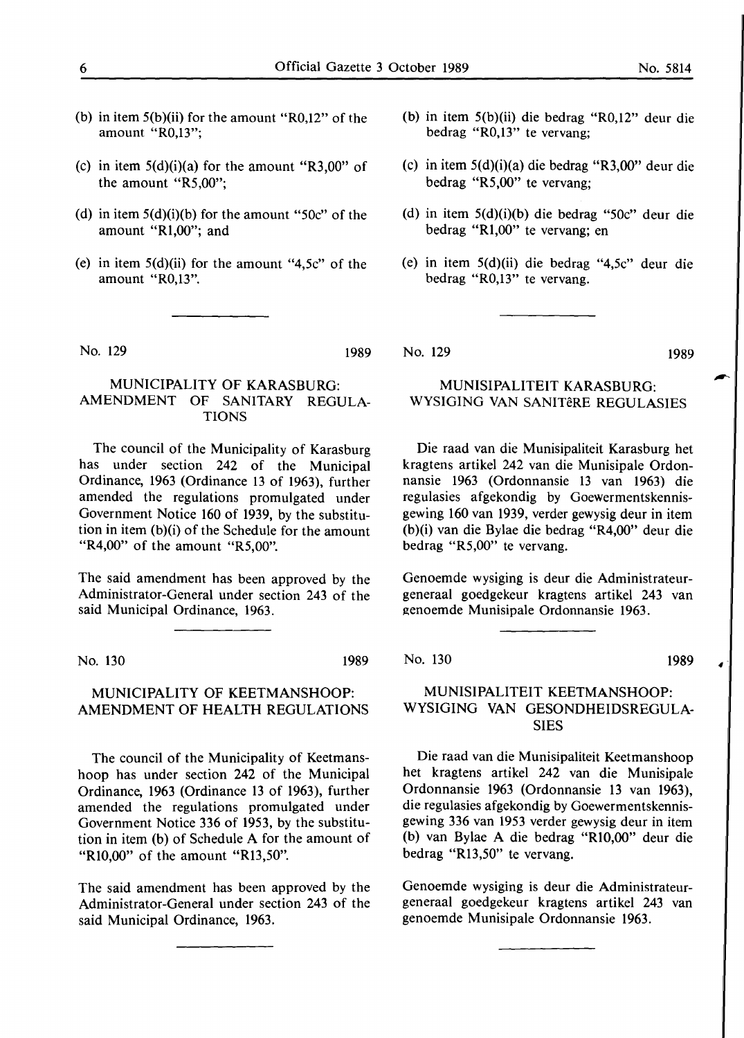- (b) in item 5(b)(ii) for the amount "R0,12" of the amount "R0,13";
- (c) in item  $5(d)(i)(a)$  for the amount "R3,00" of the amount "R5,00";
- (d) in item  $5(d)(i)(b)$  for the amount " $50c$ " of the amount "Rl,00"; and
- (e) in item  $5(d)(ii)$  for the amount "4,5c" of the amount "R0,13".

No. 129 1989

#### MUNICIPALITY OF KARASBURG: AMENDMENT OF SANITARY REGULA-TIONS

The council of the Municipality of Karasburg has under section 242 of the Municipal Ordinance, 1963 (Ordinance 13 of 1963), further amended the regulations promulgated under Government Notice 160 of 1939, by the substitution in item (b)(i) of the Schedule for the amount "R4,00" of the amount "R5,00".

The said amendment has been approved by the Administrator-General under section 243 of the said Municipal Ordinance, 1963.

No. 130 1989

#### MUNICIPALITY OF KEETMANSHOOP: AMENDMENT OF HEALTH REGULATIONS

The council of the Municipality of Keetmanshoop has under section 242 of the Municipal Ordinance, 1963 (Ordinance 13 of 1963), further amended the regulations promulgated under Government Notice 336 of 1953, by the substitution in item (b) of Schedule A for the amount of "Rl0,00" of the amount "Rl3,50".

The said amendment has been approved by the Administrator-General under section 243 of the said Municipal Ordinance, 1963.

- (b) in item 5(b)(ii) die bedrag "R0,12" deur die bedrag "R0,13" te vervang;
- (c) in item 5(d)(i)(a) die bedrag "R3,00" deur die bedrag "R5,00" te vervang;
- (d) in item 5(d)(i)(b) die bedrag "50c" deur die bedrag "Rl,00" te vervang; en
- (e) in item 5(d)(ii) die bedrag "4,5c" deur die bedrag "R0,13" te vervang.

No. 129 1989

#### MUNISIPALITEIT KARASBURG: WYSIGING VAN SANITÊRE REGULASIES

Die raad van die Munisipaliteit Karasburg het kragtens artikel 242 van die Munisipale Ordonnansie 1963 (Ordonnansie 13 van 1963) die regulasies afgekondig by Goewermentskennisgewing 160 van 1939, verder gewysig deur in item (b)(i) van die Bylae die bedrag "R4,00" deur die bedrag "R5,00" te vervang.

Genoemde wysiging is deur die Administrateurgeneraal goedgekeur kragtens artikel 243 van genoemde Munisipale Ordonnansie 1963.

No. 130 1989

 $\bullet$ 

#### MUNISIPALITEIT KEETMANSHOOP: WYSIGING VAN GESONDHEIDSREGULA-SIES

Die raad van die Munisipaliteit Keetmanshoop het kragtens artikel 242 van die Munisipale Ordonnansie 1963 (Ordonnansie 13 van 1963), die regulasies afgekondig by Goewermentskennisgewing 336 van 1953 verder gewysig deur in item (b) van Bylae A die bedrag **"Rl0,00"** deur die bedrag "Rl3,50" te vervang.

Genoemde wysiging is deur die Administrateurgeneraal goedgekeur kragtens artikel 243 van genoemde Munisipale Ordonnansie 1963.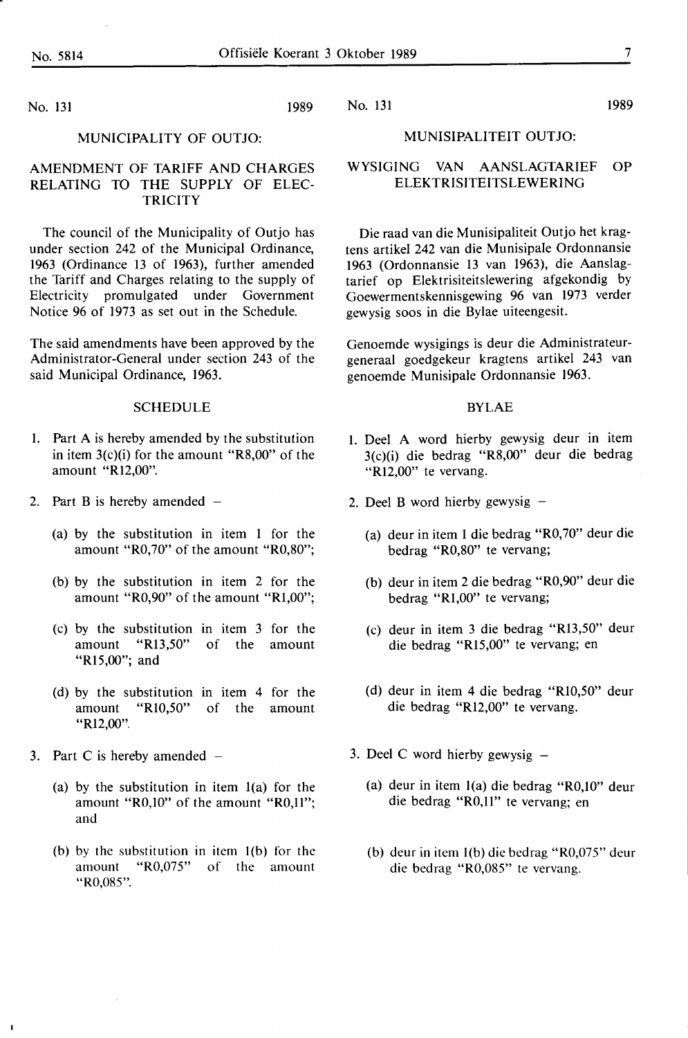No. 131 1989

#### MUNISIPALITEIT OUTJO:

No. 131 1989

#### **AMENDMENT** OF **TARIFF AND CHARGES RELATING** TO THE SUPPLY OF ELEC-**TRICITY**

**MUNICIPALITY** OF **OUTJO:** 

The council of the Municipality of Outjo has under section 242 of the Municipal Ordinance, 1963 (Ordinance 13 of 1963), further amended the Tariff and Charges relating to the supply of Electricity promulgated under Government Notice 96 of 1973 as set out in the Schedule.

The said amendments have been approved by the Administrator-General under section 243 of the said Municipal Ordinance, 1963.

#### **SCHEDULE**

- 1. Part A is hereby amended by the substitution in item 3(c)(i) for the amount "R8,00" of the amount "Rl2,00".
- 2. Part B is hereby amended  $-$ 
	- (a) by the substitution in item 1 for the amount "R0,70" of the amount "R0,80";
	- (b) by the substitution in item 2 for the amount "R0,90" of the amount "Rl,00";
	- (c) by the substitution in item 3 for the amount "Rl3,50" of the amount **"Rl** 5,00"; and
	- (d) by the substitution in item 4 for the amount "Rl0,50" of the amount "Rl2,00".
- 3. Part C is hereby amended
	- (a) by the substitution in item l(a) for the amount "R0,10" of the amount "R0,11"; and
	- (b) by the substitution in item l(b) for the amount "R0,075" of the amount "R0,085".

#### WYSIGING VAN AANSLAGTARIEF OP ELEKTRISITEITSLEWERING

Die raad van die Munisipaliteit Outjo het kragtens artikel 242 van die Munisipale Ordonnansie 1963 (Ordonnansie 13 van 1963), die Aanslagtarief op Elektrisiteitslewering afgekondig by Goewermentskennisgewing 96 van 1973 verder gewysig soos in die Bylae uiteengesit.

Genoemde wysigings is deur die Administrateurgeneraal goedgekeur kragtens artikel 243 van genoemde Munisipale Ordonnansie 1963.

#### BYLAE

- 1. Deel A word hierby gewysig deur in item 3(c)(i) die bedrag "R8,00" deur die bedrag "R12,00" te vervang.
- 2. Deel B word hierby gewysig  $-$ 
	- (a) deur in item 1 die bedrag "R0,70" deur die bedrag "R0,80" te vervang;
	- (b) deur in item 2 die bedrag "R0,90" deur die bedrag "Rl,00" te vervang;
	- (c) deur in item 3 die bedrag "Rl3,50" deur die bedrag "Rl5,00" te vervang; en
	- (d) deur in item 4 die bedrag "R10,50" deur die bedrag "Rl2,00" te vervang.
- 3. Deel C word hierby gewysig  $-$ 
	- (a) deur in item l(a) die bedrag "R0,10" deur die bedrag "R0,11" te vervang; en
	- (b) deur in item l(b) die bedrag "R0,075" deur die bedrag "R0,085" te vervang.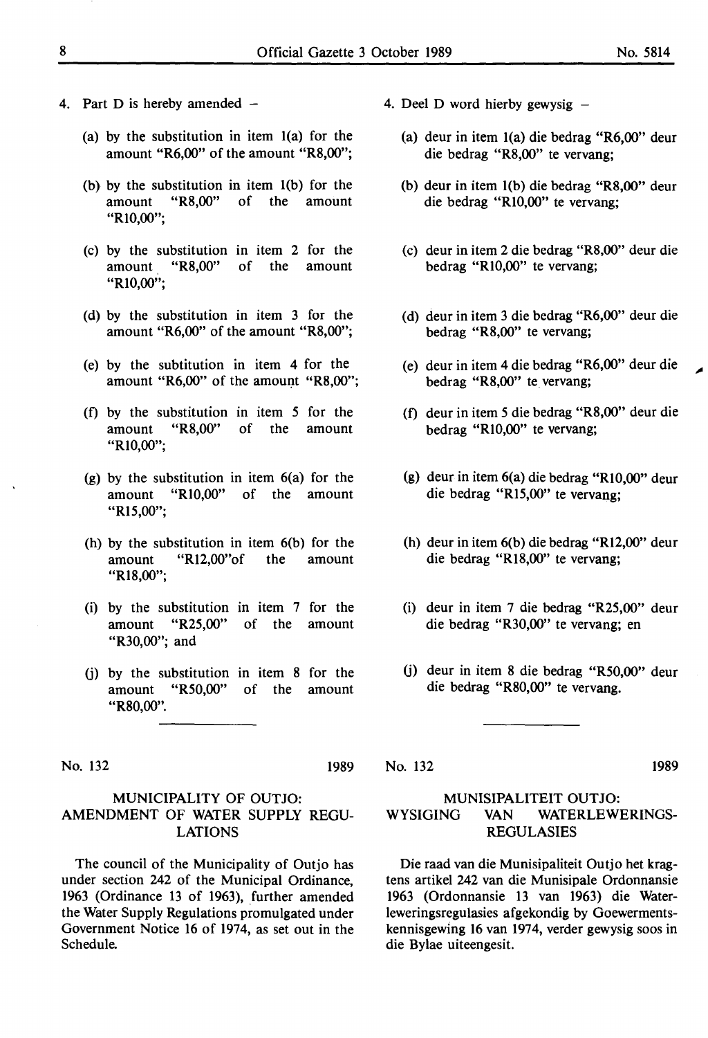- 4. Part D is hereby amended  $-$ 
	- (a) by the substitution in item l(a) for the amount **"R6,00"** of the amount **"R8,00";**
	- (b) by the substitution in item l(b) for the amount **"R8,00"** of the amount **"RI0,00";**
	- (c) by the substitution in item 2 for the amount "R8,00" of the amount **"RI0,00";**
	- (d) by the substitution in item 3 for the amount "R6,00" of the amount "R8,00";
	- (e) by the subtitution in item 4 for the amount "R6,00" of the amount "R8,00";
	- (f) by the substitution in item *5* for the amount "R8,00" of the amount **"RI0,00";**
	- (g) by the substitution in item 6(a) for the amount "RI0,00" of the amount "R<sub>15</sub>,00";
	- (h) by the substitution in item 6(b) for the amount "Rl2,00"of the amount **"Rl8,00";**
	- (i) by the substitution in item 7 for the amount **"R25, 00"** of the amount "R30,00"; and
	- (j) by the substitution in item 8 for the amount **"R50,00"** of the amount "R80,00".

No. 132 1989

#### MUNICIPALITY OF OUTJO: AMENDMENT OF WATER SUPPLY REGU-LATIONS

The council of the Municipality of Outjo has under section 242 of the Municipal Ordinance, 1963 (Ordinance 13 of 1963), further amended the Water Supply Regulations promulgated under Government Notice 16 of 1974, as set out in the Schedule.

- 4. Deel D word hierby gewysig  $-$ 
	- (a) deur in item l(a) die bedrag **"R6,00"** deur die bedrag **"R8,00"** te vervang;
	- (b) deur in item l(b) die bedrag **"RS,00"** deur die bedrag **"RI0,00"** te vervang;
	- (c) deur in item 2 die bedrag **"RS,00"** deur die bedrag **"RI0,00"** te vervang;
	- (d) deur in item 3 die bedrag **"R6,00"** deur die bedrag **"R8,00"** te vervang;
	- (e) deur in item 4 die bedrag **"R6,00"** deur die bedrag "R8,00" te vervang;
	- (f) deur in item *5* die bedrag **"R8,00"** deur die bedrag **"RI0,00"** te vervang;
	- (g) deur in item 6(a) die bedrag **"RI0,00"** deur die bedrag **"Rl5,00"** te vervang;
	- (h) deur in item 6(b) die bedrag **"Rl2,00"** deur die bedrag **"Rl8,00"** te vervang;
	- (i) deur in item 7 die bedrag **"R25,00"** deur die bedrag "R30,00" te vervang; en
	- (j) deur in item 8 die bedrag "R50,00" deur die bedrag "R80,00" te vervang.

No. 132 1989

#### MUNISIPALITEIT OUTJO: WYSIGING VAN WATERLEWERINGS-REGULASIES

Die raad van die Munisipaliteit Outjo het kragtens artikel 242 van die Munisipale Ordonnansie 1963 (Ordonnansie 13 van 1963) die Waterleweringsregulasies afgekondig by Goewermentskennisgewing 16 van 1974, verder gewysig soos in die Bylae uiteengesit.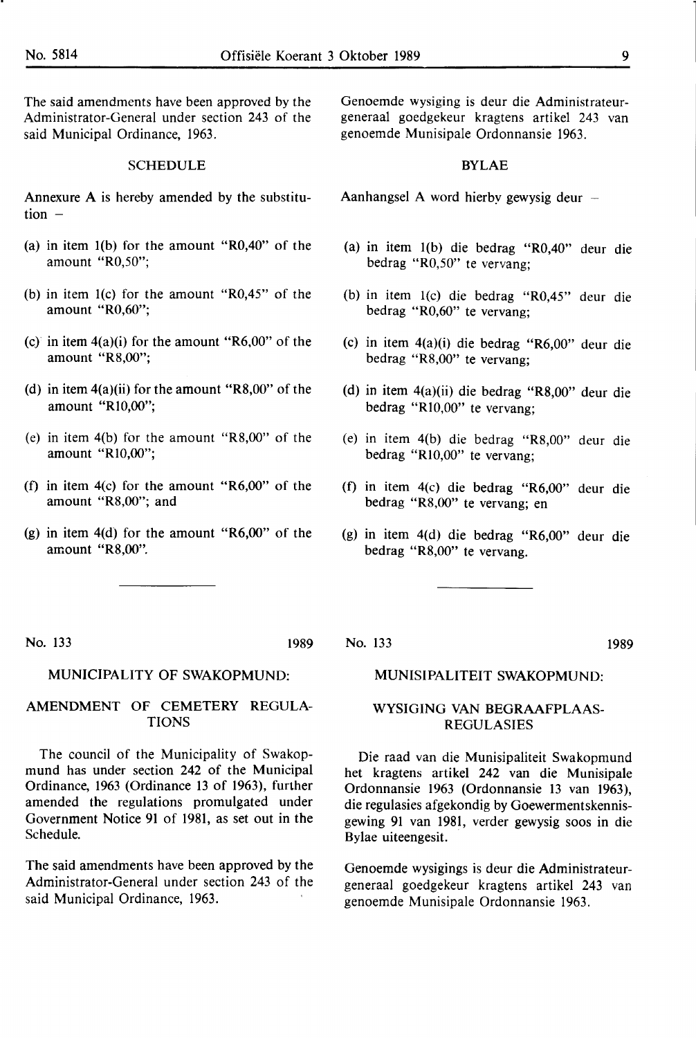The said amendments have been approved by the Administrator-General under section 243 of the said Municipal Ordinance, 1963.

#### **SCHEDULE**

Annexure A is hereby amended by the substitution  $-$ 

- (a) in item l(b) for the amount "R0,40" of the amount "R0,50";
- (b) in item l(c) for the amount "R0,45" of the amount "R0,60";
- (c) in item  $4(a)(i)$  for the amount "R6,00" of the amount "R8,00";
- (d) in item  $4(a)(ii)$  for the amount "R8,00" of the amount "Rl0,00";
- (e) in item 4(b) for the amount **"R8,00"** of the amount "Rl0,00";
- (f) in item 4(c) for the amount **"R6,00"** of the amount "R8,00"; and
- (g) in item 4(d) for the amount "R6,00" of the amount "R8,00".

Genoemde wysiging is deur die Administrateurgeneraal goedgekeur kragtens artikel 243 van genoemde Munisipale Ordonnansie 1963.

#### **BYLAE**

Aanhangsel A word hierby gewysig deur

- (a) in item l(b) die bedrag "R0,40" deur die bedrag "R0,50" te vervang;
- (b) in item l(c) die bedrag "R0,45" deur die bedrag "R0,60" te vervang;
- (c) in item 4(a)(i) die bedrag "R6,00" deur die bedrag "R8,00" te vervang;
- (d) in item 4(a)(ii) die bedrag "R8,00" deur die bedrag "Rl0,00" te vervang;
- (e) in item 4(b) die bedrag "R8,00" deur die bedrag "Rl0,00" te vervang;
- (f) in item 4(c) die bedrag "R6,00" deur die bedrag "R8,00" te vervang; en
- (g) in item 4(d) die bedrag "R6,00" deur die bedrag "R8,00" te vervang.

No. 133 1989

No. 133

#### MUNICIPALITY OF SWAKOPMUND:

#### AMENDMENT OF CEMETERY REGULA-TIONS

The council of the Municipality of Swakopmund has under section 242 of the Municipal Ordinance, 1963 (Ordinance 13 of 1963), further amended the regulations promulgated under Government Notice 91 of 1981, as set out in the Schedule.

The said amendments have been approved by the Administrator-General under section 243 of the said Municipal Ordinance, 1963.

#### MUNISIPALITEIT SWAKOPMUND:

#### WYSIGING VAN BEGRAAFPLAAS-REGULASIES

Die raad van die Munisipaliteit Swakopmund het kragtens artikel 242 van die Munisipale Ordonnansie 1963 (Ordonnansie 13 van 1963), die regulasies afgekondig by Goewermentskennisgewing 91 van 1981, verder gewysig soos in die Bylae uiteengesit.

Genoemde wysigings is deur die Administrateurgeneraal goedgekeur kragtens artikel 243 van genoemde Munisipale Ordonnansie 1963.

1989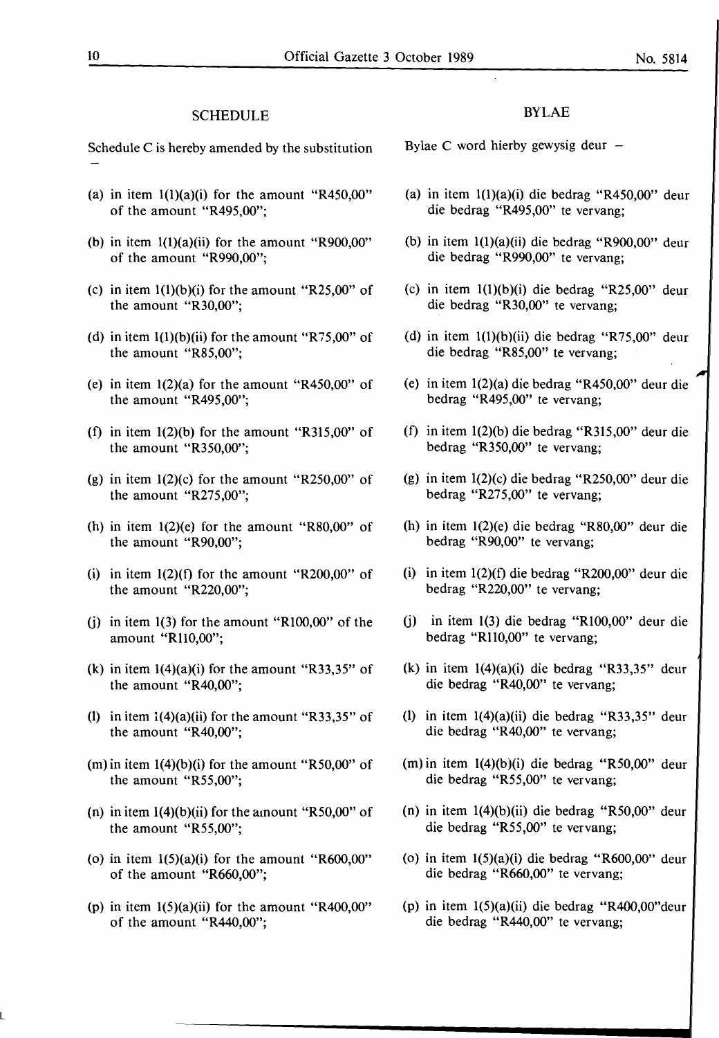#### SCHEDULE

Schedule C is hereby amended by the substitution

- (a) in item  $1(1)(a)(i)$  for the amount "R450,00" of the amount "R495,00";
- (b) in item  $1(1)(a)(ii)$  for the amount "R900,00" of the amount "R990,00";
- (c) in item  $1(1)(b)(i)$  for the amount "R25,00" of the amount "R30,00";
- (d) in item  $1(1)(b)(ii)$  for the amount "R75,00" of the amount "R85,00";
- (e) in item  $1(2)(a)$  for the amount "R450,00" of the amount "R495,00";
- (f) in item  $1(2)(b)$  for the amount "R315,00" of the amount "R350,00";
- (g) in item  $1(2)(c)$  for the amount "R250,00" of the amount "R275,00";
- (h) in item  $1(2)(e)$  for the amount "R80,00" of the amount "R90,00";
- (i) in item  $1(2)(f)$  for the amount "R200,00" of the amount "R220,00";
- (j) in item  $1(3)$  for the amount "R $100,00$ " of the amount "Rll0,00";
- (k) in item  $1(4)(a)(i)$  for the amount "R33,35" of the amount "R40,00";
- (1) in item  $1(4)(a)(ii)$  for the amount "R33,35" of the amount "R40,00";
- (m) in item  $1(4)(b)(i)$  for the amount "R50,00" of the amount "R55,00";
- (n) in item  $1(4)(b)(ii)$  for the amount "R50,00" of the amount "R55,00";
- (o) in item  $1(5)(a)(i)$  for the amount "R600,00" of the amount "R660,00";
- (p) in item  $1(5)(a)(ii)$  for the amount "R400,00" of the amount "R440,00";

#### BYLAE

Bylae C word hierby gewysig deur  $-$ 

- (a) in item l(l)(a)(i) die bedrag "R450,00" deur die bedrag "R495,00" te vervang;
- (b) in item l(l)(a)(ii) die bedrag "R900,00" deur die bedrag "R990,00" te vervang;
- (c) in item l(l)(b)(i) die bedrag "R25,00" deur die bedrag "R30,00" te vervang;
- (d) in item l(l)(b)(ii) die bedrag "R75,00" deur die bedrag "R85,00" te vervang;
- (e) in item 1(2)(a) die bedrag "R450,00" deur die bedrag "R495,00" te vervang;
- (f) in item 1(2)(b) die bedrag "R315,00" deur die bedrag "R350,00" te vervang;
- (g) in item 1(2)(c) die bedrag "R250,00" deur die bedrag "R275,00" te vervang;
- (h) in item 1(2)(e) die bedrag "R80,00" deur die bedrag "R90,00" te vervang;
- (i) in item 1(2)(f) die bedrag "R200,00" deur die bedrag "R220,00" te vervang;
- (j) in item 1(3) die bedrag "Rl00,00" deur die bedrag "R110,00" te vervang;
- (k) in item 1(4)(a)(i) die bedrag "R33,35" deur die bedrag "R40,00" te vervang;
- (1) in item 1(4)(a)(ii) die bedrag "R33,35" deur die bedrag "R40,00" te vervang;
- (m) in item 1(4)(b){i) die bedrag "R50,00" deur die bedrag "R55,00" te vervang;
- (n) in item 1(4)(b)(ii) die bedrag "R50,00" deur die bedrag "R55,00" te vervang;
- (o) in item l(S)(a)(i) die bedrag "R600,00" deur die bedrag "R660,00" te vervang;
- (p) in item 1(5)(a)(ii) die bedrag "R400,00"deur die bedrag "R440,00" te vervang;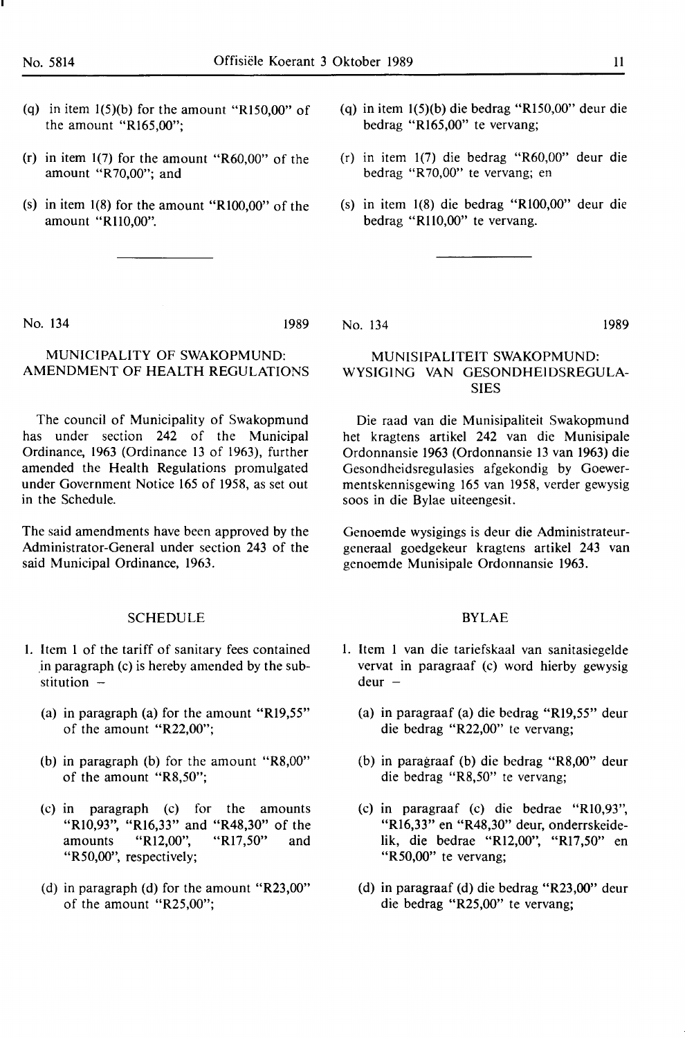- (q) in item  $1(5)(b)$  for the amount "R150,00" of the amount "Rl65,00";
- (r) in item 1(7) for the amount "R60,00" of the amount "R70,00"; and
- (s) in item 1(8) for the amount "RI00,00" of the amount "Rll0,00".
- (q) in item 1(5)(b) die bedrag "Rl50,00" deur die bedrag "Rl65,00" te vervang;
- (r) in item 1(7) die bedrag "R60,00" deur die bedrag "R70,00" te vervang; en
- (s) in item 1(8) die bedrag "RI00,00" deur die bedrag "R110,00" te vervang.

No. 134 1989

### MUNICIPALITY OF SWAKOPMUND: AMENDMENT OF HEALTH REGULATIONS

The council of Municipality of Swakopmund has under section 242 of the Municipal Ordinance, 1963 (Ordinance 13 of 1963), further amended the Health Regulations promulgated under Government Notice 165 of 1958, as set out in the Schedule.

The said amendments have been approved by the Administrator-General under section 243 of the said Municipal Ordinance, 1963.

#### SCHEDULE

- 1. Item l of the tariff of sanitary fees contained .in paragraph (c) is hereby amended by the substitution  $-$ 
	- (a) in paragraph (a) for the amount "Rl9,55" of the amount "R22,00";
	- (b) in paragraph (b) for the amount "R8,00" of the amount "R8,50";
	- (c) in paragraph (c) for the amounts "RI0,93", "Rl6,33" and "R48,30" of the amounts "Rl2,00", "Rl7,50" and "R50,00", respectively;
	- (d) in paragraph (d) for the amount "R23,00" of the amount "R25,00";

No. 134 1989

#### MUNISIPALITEIT SWAKOPMUND: WYSIGING VAN GESONDHEIDSREGULA-SIES

Die raad van die Munisipaliteit Swakopmund het kragtens artikel 242 van die Munisipale Ordonnansie 1963 (Ordonnansie 13 van 1963) die Gesondheidsregulasies afgekondig by Goewermentskennisgewing 165 van 1958, verder gewysig soos in die Bylae uiteengesit.

Genoemde wysigings is deur die Administrateurgeneraal goedgekeur kragtens artikel 243 van genoemde Munisipale Ordonnansie 1963.

#### **BYLAE**

- 1. Item 1 van die tariefskaal van sanitasiegelde vervat in paragraaf (c) word hierby gewysig  $deur -$ 
	- (a) in paragraaf (a) die bedrag "Rl9,55" deur die bedrag "R22,00" te vervang;
	- (b) in paragraaf (b) die bedrag "R8,00" deur die bedrag "R8,50" te vervang;
	- (c) in paragraaf (c) die bedrae "RI0,93", "Rl6,33" en "R48,30" deur, onderrskeidelik, die bedrae "Rl2,00", "Rl7,50" en "R50,00" te vervang;
	- (d) in paragraaf (d) die bedrag "R23,00" deur die bedrag "R25,00" te vervang;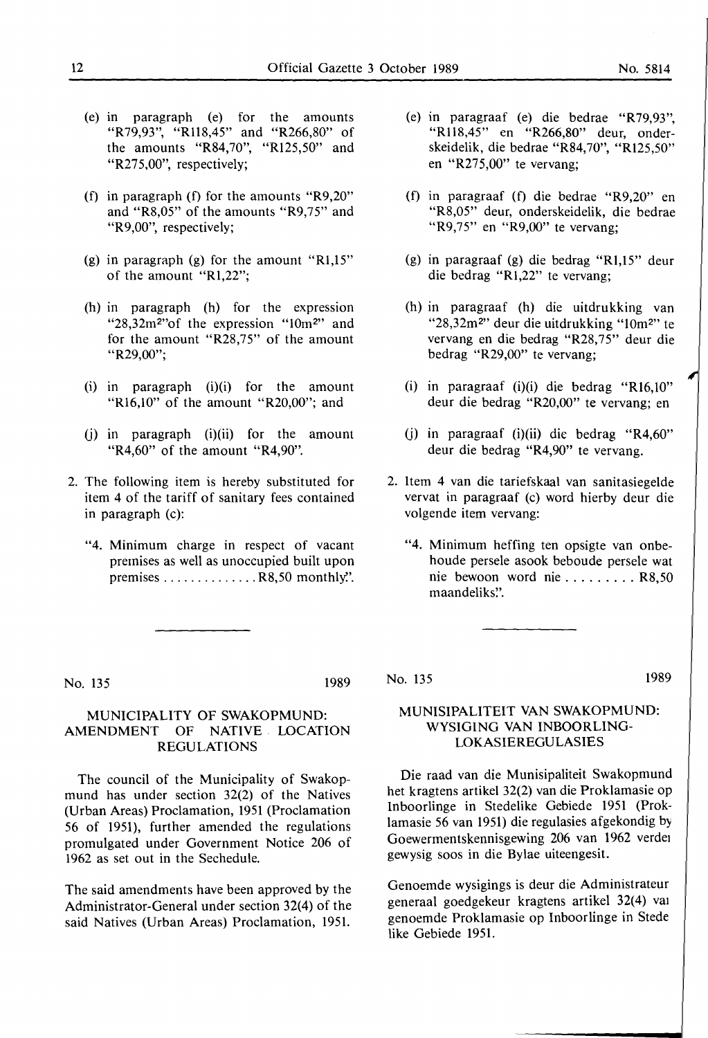- (e) in paragraph (e) for the amounts "R79,93", "Rll8,45" and "R266,80" of the amounts "R84,70", "Rl25,50" and "R275,00", respectively;
- (f) in paragraph (f) for the amounts "R9,20" and "R8,05" of the amounts "R9,75" and "R9,00", respectively;
- (g) in paragraph (g) for the amount " $R1,15$ " of the amount "Rl,22";
- (h) in paragraph (h) for the expression "28,32m<sup>2</sup>"of the expression "10m<sup>2"</sup> and for the amount "R28,75" of the amount "R29,00";
- (i) in paragraph (i)(i) for the amount "R16,10" of the amount "R20,00"; and
- (j) in paragraph (i)(ii) for the amount "R4,60" of the amount "R4,90".
- 2. The following item is hereby substituted for item 4 of the tariff of sanitary fees contained in paragraph (c):
	- "4. Minimum charge in respect of vacant premises as well as unoccupied built upon premises  $\dots \dots \dots \dots$ . R8,50 monthly.'.

No. 135 1989

#### **MUNICIPALITY OF SWAKOPMUND: AMENDMENT OF NATIVE LOCATION REGULATIONS**

The council of the Municipality of Swakopmund has under section 32(2) of the Natives (Urban Areas) Proclamation, 1951 (Proclamation 56 of 1951), further amended the regulations promulgated under Government Notice 206 of 1962 as set out in the Sechedule.

The said amendments have been approved by the Administrator-General under section 32(4) of the said Natives (Urban Areas) Proclamation, 1951.

- (e) **in** paragraaf (e) die bedrae "R79,93", "R118,45" en "R266,80" deur, onderskeidelik, die bedrae "R84,70", "Rl25,50" en "R275,00" te vervang;
- (f) in paragraaf (f) die bedrae "R9,20" en "R8,05" deur, onderskeidelik, die bedrae "R9,75" en "R9,00" te vervang;
- (g) in paragraaf (g) die bedrag "Rl,15" deur die bedrag "Rl,22" te vervang;
- (h) in paragraaf (h) die uitdrukking van "28,32m<sup>2"</sup> deur die uitdrukking "10m<sup>2"</sup> te vervang en die bedrag "R28, 75" deur die bedrag "R29,00" te vervang;
- (i) in paragraaf (i)(i) die bedrag "Rl6,l0" deur die bedrag "R20,00" te vervang; en
- (j) in paragraaf (i)(ii) die bedrag "R4,60" deur die bedrag "R4,90" te vervang.
- 2. ltem 4 van die tariefskaal van sanitasiegelde vervat in paragraaf (c) word hierby deur die volgende item vervang:
	- "4. Minimum heffing ten opsigte van onbehoude persele asook beboude persele wat nie bewoon word nie ......... R8,50 maandeliks'.'.

No. 135 1989

#### **MUNISIPALITEIT VAN SWAKOPMUND: WYSIGING VAN INBOORLING-LOKASIEREGULASIES**

Die raad van die Munisipaliteit Swakopmund het kragtens artikel 32(2) van die Proklamasie op Inboorlinge in Stedelike Gebiede 1951 (Proklamasie 56 van 1951) die regulasies afgekondig by Goewermentskennisgewing 206 van 1962 verde1 gewysig soos in die Bylae uiteengesit.

Genoemde wysigings is deur die Administrateur generaal goedgekeur kragtens artikel 32(4) vai genoemde Proklamasie op Inboorlinge in Stede like Gebiede 1951.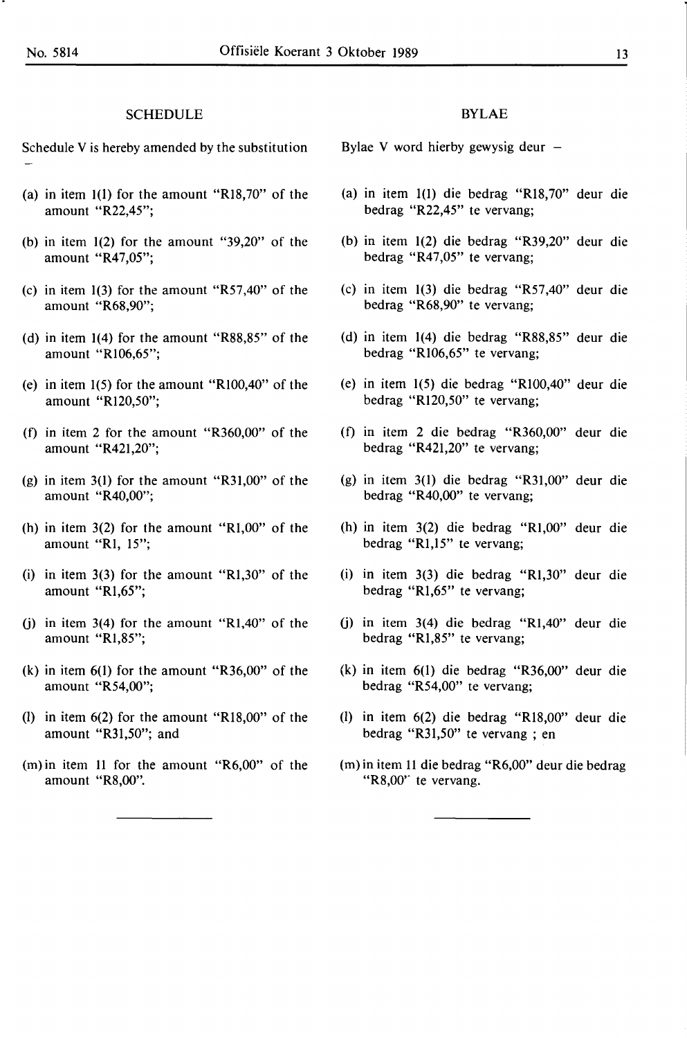#### SCHEDULE

Schedule V is hereby amended by the substitution

- (a) in item 1(1) for the amount "RI8,70" of the amount "R22,45";
- (b) in item 1(2) for the amount "39,20" of the amount "R47,05";
- (c) in item 1(3) for the amount "R57,40" of the amount "R68,90";
- (d) in item 1(4) for the amount "R88,85" of the amount "Rl06,65";
- (e) in item 1(5) for the amount "RI00,40" of the amount "RI20,50";
- (f) in item 2 for the amount "R360,00" of the amount "R42I,20";
- (g) in item 3(1) for the amount "R31,00" of the amount "R40,00";
- (h) in item 3(2) for the amount "Rl,00" of the amount **"RI,** 15";
- (i) in item 3(3) for the amount "Rl,30" of the amount "Rl,65";
- (j) in item 3(4) for the amount "Rl,40" of the amount "Rl,85";
- (k) in item 6(1) for the amount "R36,00" of the amount "R54,00";
- (1) in item  $6(2)$  for the amount "R18,00" of the amount "R31,50"; and
- (m) in item 11 for the amount "R6,00" of the amount "R8,00".

#### BYLAE

Bylae V word hierby gewysig deur

- (a) in item 1(1) die bedrag "Rl8,70" deur die bedrag "R22,45" te vervang;
- (b) in item 1(2) die bedrag "R39,20" deur die bedrag "R47,05" te vervang;
- (c) in item 1(3) die bedrag "R57,40" deur die bedrag "R68,90" te vervang;
- (d) in item 1(4) die bedrag "R88,85" deur die bedrag "Rl06,65" te vervang;
- (e) in item 1(5) die bedrag "RI00,40" deur die bedrag "R120,50" te vervang;
- (f) in item 2 die bedrag "R360,00" deur die bedrag "R421,20" te vervang;
- (g) in item 3(1) die bedrag "R31,00" deur die bedrag "R40,00" te vervang;
- (h) in item 3(2) die bedrag "RI,00" deur die bedrag "Rl,15" te vervang;
- (i) in item 3(3) die bedrag "Rl,30" deur die bedrag "Rl,65" te vervang;
- (j) in item 3(4) die bedrag "Rl,40" deur die bedrag "Rl,85" te vervang;
- (k) in item 6(1) die bedrag "R36,00" deur die bedrag "R54,00" te vervang;
- (1) in item 6(2) die bedrag "Rl8,00" deur die bedrag "R31,50" te vervang ; en
- (m) in item 11 die bedrag "R6,00" deur die bedrag "R8,00" te vervang.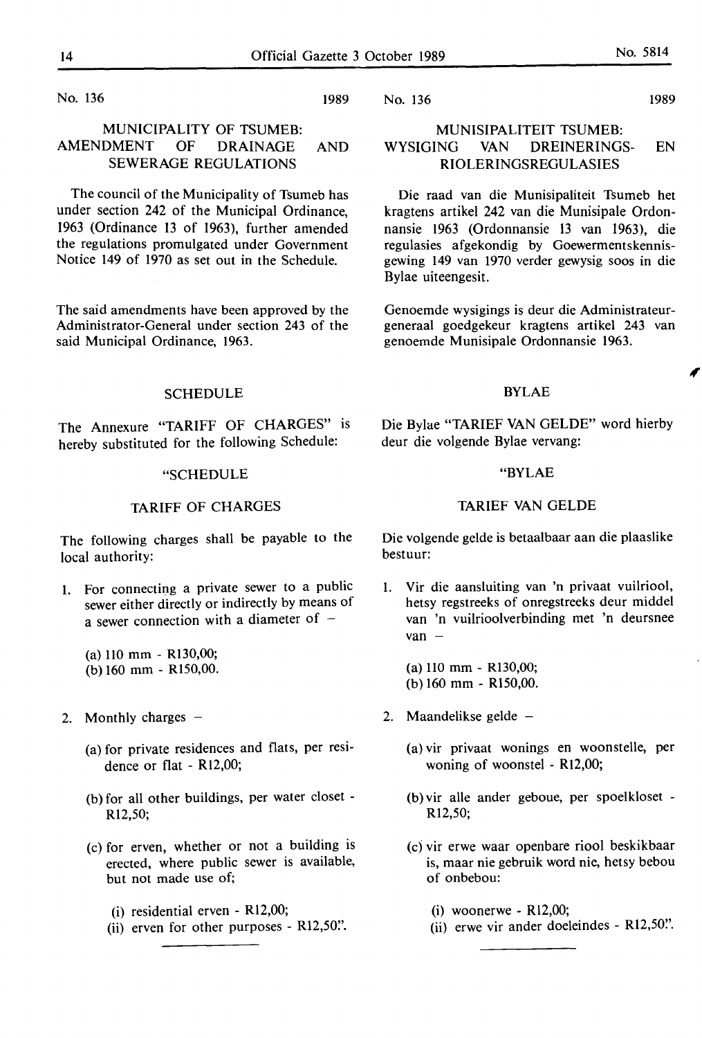No. 136 1989

#### MUNICIPALITY OF TSUMEB: AMENDMENT OF DRAINAGE AND SEWERAGE REGULATIONS

The council of the Municipality of Tsumeb has under section 242 of the Municipal Ordinance, 1963 (Ordinance 13 of 1963), further amended the regulations promulgated under Government Notice 149 of 1970 as set out in the Schedule.

The said amendments have been approved by the Administrator-General under section 243 of the said Municipal Ordinance, 1963.

#### **SCHEDULE**

The Annexure "TARIFF OF CHARGES" is hereby substituted for the following Schedule:

#### "SCHEDULE

#### TARIFF OF CHARGES

The following charges shall be payable to the local authority:

1. For connecting a private sewer to a public sewer either directly or indirectly by means of a sewer connection with a diameter of  $-$ 

(a) 110 mm - R130,00; (b) 160 mm - R150,00.

- 2. Monthly charges  $-$ 
	- (a) for private residences and flats, per residence or flat - Rl2,00;
	- (b) for all other buildings, per water closet R12,50;
	- (c) for erven, whether or not a building is erected, where public sewer is available, but not made use of;
		- (i) residential erven Rl2,00;
		- (ii) erven for other purposes R12,50".

No. 136 1989

#### MUNISIPALITEIT TSUMEB: WYSIGING VAN DREINERINGS- EN RIOLERINGSREGULASIES

Die raad van die Munisipaliteit Tsumeb het kragtens artikel 242 van die Munisipale Ordonnansie 1963 (Ordonnansie 13 van 1963), die regulasies afgekondig by Goewermentskennisgewing 149 van 1970 verder gewysig soos in die Bylae uiteengesit.

Genoemde wysigings is deur die Administrateurgeneraal goedgekeur kragtens artikel 243 van genoemde Munisipale Ordonnansie 1963.

#### BYLAE

Die Bylae "TARIEF VAN GELDE" word hierby deur die volgende Bylae vervang:

#### "BYLAE

#### TARIEF VAN GELDE

Die volgende gelde is betaalbaar aan die plaaslike bestuur:

1. Vir die aansluiting van 'n privaat vuilriool, hetsy regstreeks of onregstreeks deur middel van 'n vuilrioolverbinding met 'n deursnee  $van -$ 

(a) 110 mm - R130,00; (b) 160 mm - R150,00.

- 2. Maandelikse gelde  $-$ 
	- (a) vir privaat wonings en woonstelle, per woning of woonstel - R12,00;
	- (b) vir alle ander geboue, per spoelkloset R12,50;
	- (c) vir erwe waar openbare riool beskikbaar is, maar nie gebruik word nie, hetsy bebou of onbebou:
		- $(i)$  woonerwe R12,00;
		- (ii) erwe vir ander doeleindes R12,50".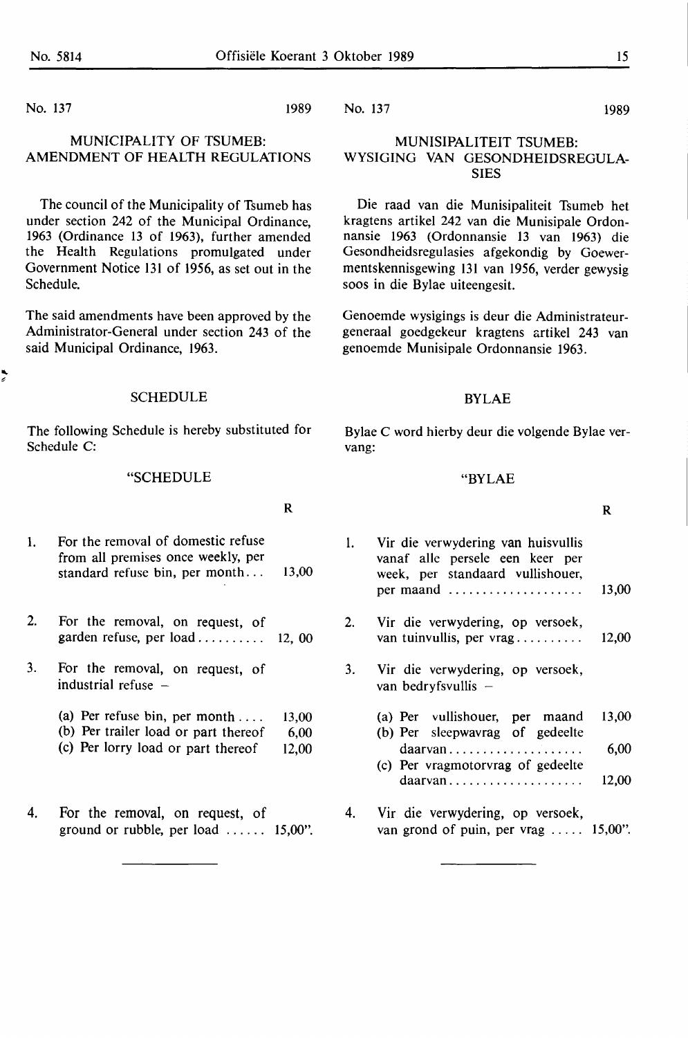No. 137 1989

#### MUNICIPALITY OF TSUMEB: AMENDMENT OF HEALTH REGULATIONS

The council of the Municipality of Tsumeb has under section 242 of the Municipal Ordinance, 1963 (Ordinance 13 of 1963), further amended the Health Regulations promulgated under Government Notice 131 of 1956, as set out in the Schedule.

The said amendments have been approved by the Administrator-General under section 243 of the said Municipal Ordinance, 1963.

SCHEDULE

The following Schedule is hereby substituted for Schedule C:

#### "SCHEDULE

#### **R**

- 1. For the removal of domestic refuse from all premises once weekly, per standard refuse bin, per month... 13,00
- 2. For the removal, on request, of garden refuse, per  $load$  . . . . . . . . . 12, 00
- 3. For the removal, on request, of industrial refuse  $-$ 
	- (a) Per refuse bin, per month .... 13,00
	- (b) Per trailer load or part thereof 6,00
	- (c) Per lorry load or part thereof 12,00
- 4. For the removal, on request, of ground or rubble, per load  $\dots$  . . . . 15,00".

No. 137 1989

#### MUNISIPALITEIT TSUMEB: WYSIGING VAN GESONDHEIDSREGULA-**SIES**

Die raad van die Munisipaliteit Tsumeb het kragtens artikel 242 van die Munisipale Ordonnansie 1963 (Ordonnansie 13 van 1963) die Gesondheidsregulasies afgekondig by Goewermentskennisgewing 131 van 1956, verder gewysig soos in die Bylae uiteengesit.

Genoemde wysigings is deur die Administrateurgeneraal goedgekeur kragtens artikel 243 van genoemde Munisipale Ordonnansie 1963.

#### BYLAE

Bylae C word hierby deur die volgende Bylae vervang:

#### "BYLAE

#### **R**

| 1. | Vir die verwydering van huisvullis<br>vanaf alle persele een keer per<br>week, per standaard vullishouer, |       |
|----|-----------------------------------------------------------------------------------------------------------|-------|
|    | per maand                                                                                                 | 13,00 |
| 2. | Vir die verwydering, op versoek,<br>van tuinvullis, per vrag                                              | 12,00 |
| 3. | Vir die verwydering, op versoek,<br>van bedryfsvullis $-$                                                 |       |
|    | (a) Per vullishouer, per maand<br>(b) Per sleepwavrag of gedeelte                                         | 13,00 |
|    | daarvan<br>(c) Per vragmotorvrag of gedeelte                                                              | 6,00  |
|    | $daarvan$                                                                                                 | 12.00 |

4. Vir die verwydering, op versoek, van grond of puin, per vrag  $\dots$  15,00".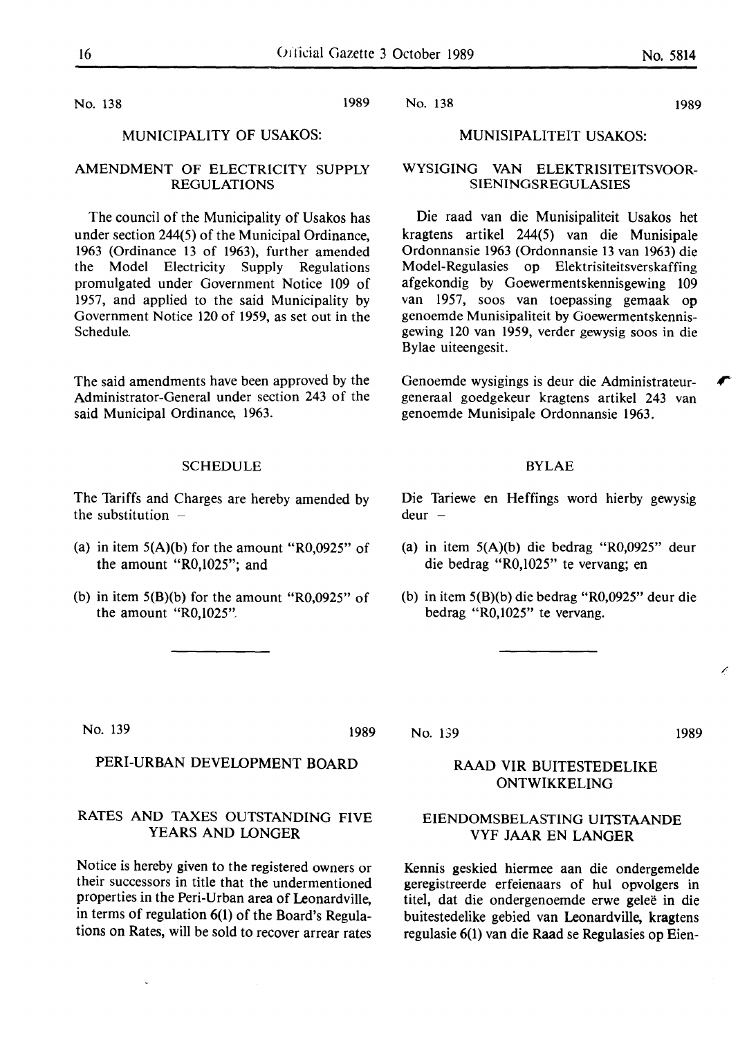No. 138 1989

#### MUNICIPALITY OF USAKOS:

#### **AMENDMENT OF ELECTRICITY SUPPLY REGULATIONS**

The council of the Municipality of Usakos has under section 244(5) of the Municipal Ordinance, 1963 (Ordinance 13 of 1963), further amended the Model Electricity Supply Regulations promulgated under Government Notice 109 of 1957, and applied to the said Municipality by Government Notice 120 of 1959, as set out in the Schedule.

The said amendments have been approved by the Administrator-General under section 243 of the said Municipal Ordinance, 1963.

#### **SCHEDULE**

The Tariffs and Charges are hereby amended by the substitution  $-$ 

- (a) in item  $5(A)(b)$  for the amount "R0,0925" of the amount "R0,1025"; and
- (b) in item  $5(B)(b)$  for the amount "R0,0925" of the amount "R0,1025".

Die Tariewe en Heffings word hierby gewysig  $deur -$ 

**BYLAE** 

Genoemde wysigings is deur die Administrateurgeneraal goedgekeur kragtens artikel 243 van

genoemde Munisipale Ordonnansie 1963.

MUNISIPALITEIT USAKOS:

WYSIGING VAN ELEKTRISITEITSVOOR-**SIENINGSREGULASIES** 

Die raad van die Munisipaliteit Usakos bet kragtens artikel 244(5) van die Munisipale Ordonnansie 1963 (Ordonnansie 13 van 1963) die Model-Regulasies op Elektrisiteitsverskaffing afgekondig by Goewermentskennisgewing 109

- (a) in item 5(A)(b) die bedrag "R0,0925" deur die bedrag "R0,1025" te vervang; en
- (b) in item 5(B)(b) die bedrag "R0,0925" deur die bedrag "R0,1025" te vervang.

No. 139 1989

#### PERI-URBAN DEVELOPMENT BOARD

#### RATES AND TAXES OUTSTANDING FIVE YEARS AND LONGER

Notice is hereby given to the registered owners or their successors in title that the undermentioned properties in the Peri-Urban area of Leonardville, in terms of regulation 6(1) of the Board's Regulations on Rates, will be sold to recover arrear rates No. 139

### 1989

#### **RAAD VIR** BUITESTEDELIKE **ONTWIKKELING**

#### **EIENDOMSBELASTING UITSTAANDE VYF JAAR** EN **LANGER**

Kennis geskied hiermee aan die ondergemelde geregistreerde erfeienaars of hul opvolgers in titel, dat die ondergenoemde erwe geleë in die buitestedelike gebied van Leonardville, kragtens regulasie 6(1) van die Raad se Regulasies op Eien-

#### No. 138 1989

Bylae uiteengesit.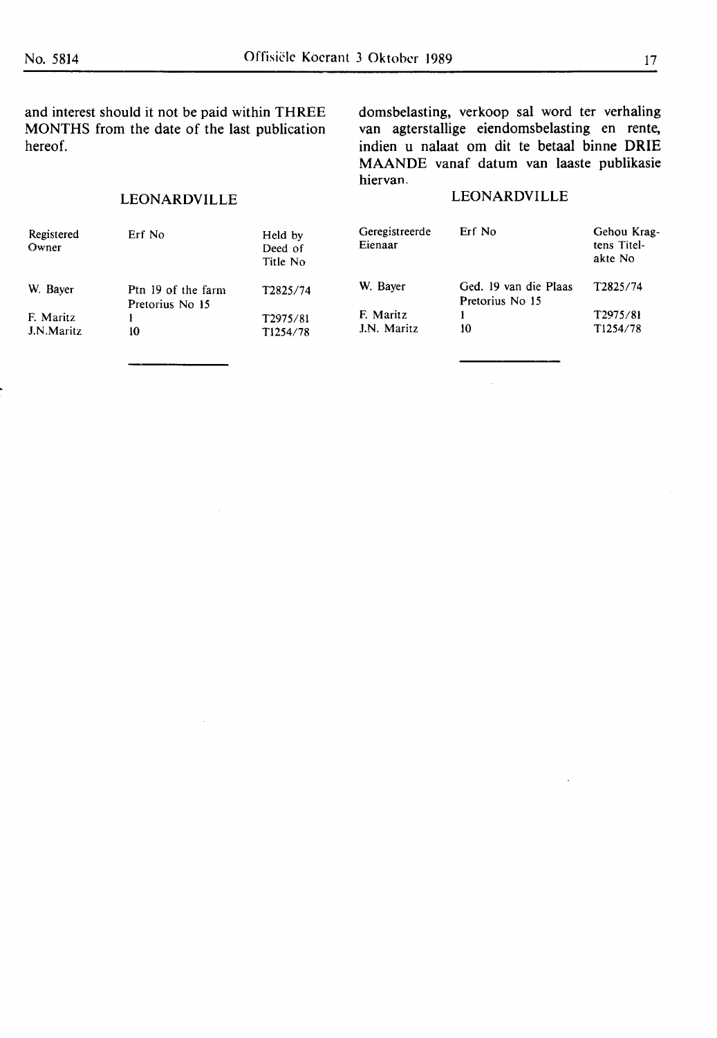and interest should it not be paid within THREE MONTHS from the date of the last publication hereof.

#### LEONARDVILLE

 $\bar{z}$ 

domsbelasting, verkoop sal word ter verhaling van agterstallige eiendomsbelasting en rente, indien u nalaat om dit te betaal binne ORIE MAANDE vanaf datum van laaste publikasie hiervan.

#### LEONARDVILLE

| Registered<br>Owner     | Erf No                                | Held by<br>Deed of<br>Title No    | Geregistreerde<br>Eienaar | Erf No                                   | Gehou Krag-<br>tens Titel-<br>akte No |
|-------------------------|---------------------------------------|-----------------------------------|---------------------------|------------------------------------------|---------------------------------------|
| W. Bayer                | Ptn 19 of the farm<br>Pretorius No 15 | T2825/74                          | W. Bayer                  | Ged. 19 van die Plaas<br>Pretorius No 15 | T2825/74                              |
| F. Maritz<br>J.N.Maritz | 10                                    | T2975/81<br>T <sub>1254</sub> /78 | F. Maritz<br>J.N. Maritz  | 10                                       | T2975/81<br>T <sub>1254</sub> /78     |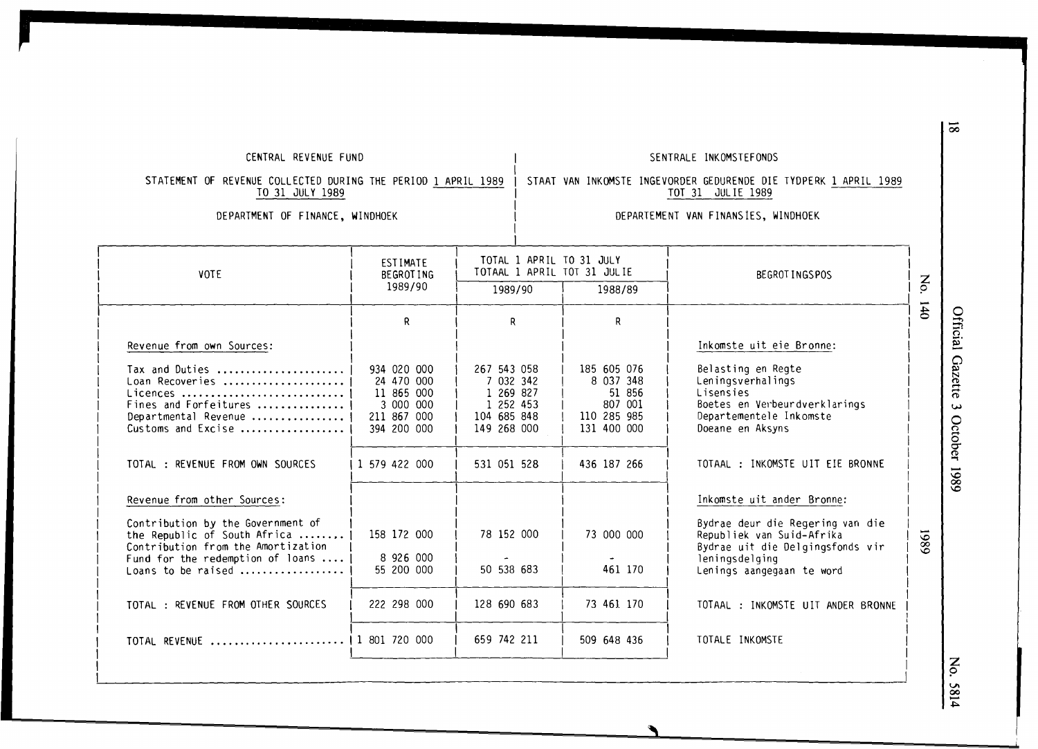#### CENTRAL REVENUE FUND SENTRALE INKOMSTEFONDS

## STAAT VAN INKOMSTE INGEVORDER GEDURENDE DIE TYDPERK 1 APRIL 1989

STATEMENT OF REVENUE COLLECTED DURING THE PERIOD 1 APRIL 1989 TO 31 JULY 1989

### TOT 31 JULIE 1989 DEPARTMENT OF FINANCE, **WINDHOEK** DEPARTEMENT VAN FINANSiES, WINDHOEK

| <b>VOTE</b>                                                                                                                                                       | ESTIMATE<br><b>BEGROTING</b>                                                       | TOTAL 1 APRIL TO 31 JULY<br>TOTAAL 1 APRIL TOT 31 JULIE                          |                                                                             | BEGROT INGSPOS                                                                                                                                   |              |                                               |
|-------------------------------------------------------------------------------------------------------------------------------------------------------------------|------------------------------------------------------------------------------------|----------------------------------------------------------------------------------|-----------------------------------------------------------------------------|--------------------------------------------------------------------------------------------------------------------------------------------------|--------------|-----------------------------------------------|
|                                                                                                                                                                   | 1989/90                                                                            | 1989/90                                                                          | 1988/89                                                                     |                                                                                                                                                  | $\mathbf{S}$ |                                               |
|                                                                                                                                                                   | R                                                                                  | R.                                                                               | R.                                                                          |                                                                                                                                                  | 140          | Official                                      |
| Revenue from own Sources:                                                                                                                                         |                                                                                    |                                                                                  |                                                                             | Inkomste uit eie Bronne:                                                                                                                         |              |                                               |
| Tax and Duties<br>Loan Recoveries<br>Licences<br>Fines and Forfeitures<br>Departmental Revenue<br>Customs and Excise                                              | 934 020 000<br>24 470 000<br>11 865 000<br>3 000 000<br>211 867 000<br>394 200 000 | 267 543 058<br>7 032 342<br>1 269 827<br>1 252 453<br>104 685 848<br>149 268 000 | 185 605 076<br>8 037 348<br>51 856<br>807 001<br>110 285 985<br>131 400 000 | Belasting en Regte<br>Leningsverhalings<br>Lisensies<br>Boetes en Verbeurdverklarings<br>Departementele Inkomste<br>Doeane en Aksyns             |              | Gazette<br>$\overline{\mathbf{v}}$<br>October |
| TOTAL: REVENUE FROM OWN SOURCES                                                                                                                                   | 1 579 422 000                                                                      | 531 051 528                                                                      | 436 187 266                                                                 | TOTAAL : INKOMSTE UIT EIE BRONNE                                                                                                                 |              | 6861                                          |
| Revenue from other Sources:                                                                                                                                       |                                                                                    |                                                                                  |                                                                             | Inkomste uit ander Bronne:                                                                                                                       |              |                                               |
| Contribution by the Government of<br>the Republic of South Africa<br>Contribution from the Amortization<br>Fund for the redemption of loans<br>Loans to be raised | 158 172 000<br>8 926 000<br>55 200 000                                             | 78 152 000<br>50 538 683                                                         | 73 000 000<br>461 170                                                       | Bydrae deur die Regering van die<br>Republiek van Suid-Afrika<br>Bydrae uit die Delgingsfonds vir<br>leningsdelging<br>Lenings aangegaan te word | 1989         |                                               |
| TOTAL : REVENUE FROM OTHER SOURCES                                                                                                                                | 222 298 000                                                                        | 128 690 683                                                                      | 73 461 170                                                                  | TOTAAL : INKOMSTE UIT ANDER BRONNE                                                                                                               |              |                                               |
| TOTAL REVENUE                                                                                                                                                     | 1 801 720 000                                                                      | 659 742 211                                                                      | 509 648 436                                                                 | TOTALE INKOMSTE                                                                                                                                  |              |                                               |
|                                                                                                                                                                   |                                                                                    |                                                                                  |                                                                             |                                                                                                                                                  |              | $\boldsymbol{z}$                              |

81